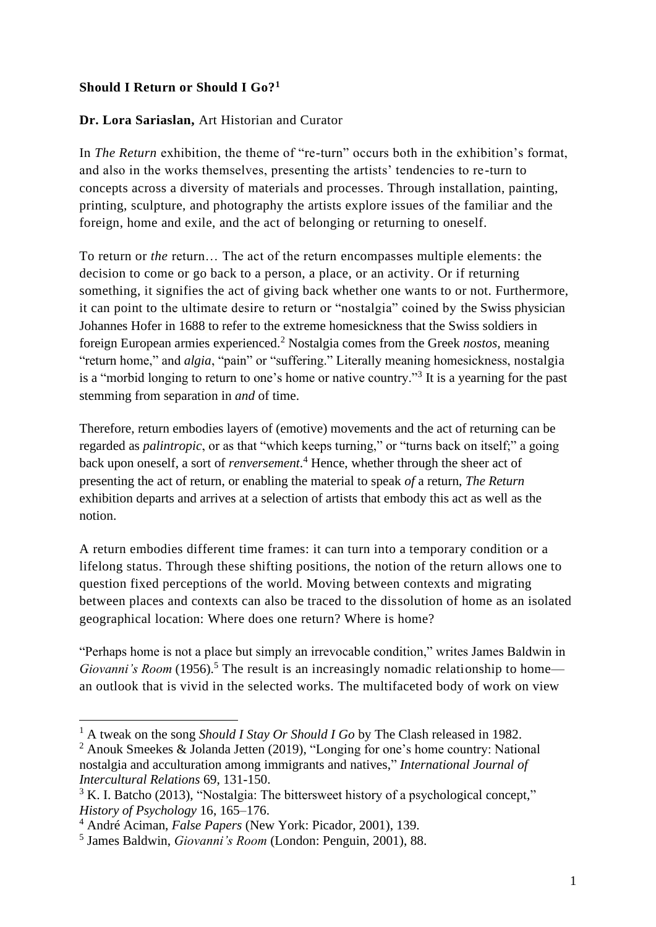## **Should I Return or Should I Go?<sup>1</sup>**

## **Dr. Lora Sariaslan,** Art Historian and Curator

In *The Return* exhibition, the theme of "re-turn" occurs both in the exhibition's format, and also in the works themselves, presenting the artists' tendencies to re-turn to concepts across a diversity of materials and processes. Through installation, painting, printing, sculpture, and photography the artists explore issues of the familiar and the foreign, home and exile, and the act of belonging or returning to oneself.

To return or *the* return… The act of the return encompasses multiple elements: the decision to come or go back to a person, a place, or an activity. Or if returning something, it signifies the act of giving back whether one wants to or not. Furthermore, it can point to the ultimate desire to return or "nostalgia" coined by the Swiss physician Johannes Hofer in 1688 to refer to the extreme homesickness that the Swiss soldiers in foreign European armies experienced.<sup>2</sup> Nostalgia comes from the Greek *nostos*, meaning "return home," and *algia*, "pain" or "suffering." Literally meaning homesickness, nostalgia is a "morbid longing to return to one's home or native country."<sup>3</sup> It is a vearning for the past stemming from separation in *and* of time.

Therefore, return embodies layers of (emotive) movements and the act of returning can be regarded as *palintropic*, or as that "which keeps turning," or "turns back on itself;" a going back upon oneself, a sort of *renversement*. <sup>4</sup> Hence, whether through the sheer act of presenting the act of return, or enabling the material to speak *of* a return, *The Return* exhibition departs and arrives at a selection of artists that embody this act as well as the notion.

A return embodies different time frames: it can turn into a temporary condition or a lifelong status. Through these shifting positions, the notion of the return allows one to question fixed perceptions of the world. Moving between contexts and migrating between places and contexts can also be traced to the dissolution of home as an isolated geographical location: Where does one return? Where is home?

"Perhaps home is not a place but simply an irrevocable condition," writes James Baldwin in *Giovanni's Room* (1956).<sup>5</sup> The result is an increasingly nomadic relationship to home an outlook that is vivid in the selected works. The multifaceted body of work on view

<sup>&</sup>lt;sup>1</sup> A tweak on the song *Should I Stay Or Should I Go* by The Clash released in 1982.

<sup>2</sup> Anouk Smeekes & Jolanda Jetten (2019), "Longing for one's home country: National nostalgia and acculturation among immigrants and natives," *International Journal of Intercultural Relations* 69, 131-150.

 $3 K.$  I. Batcho (2013), "Nostalgia: The bittersweet history of a psychological concept," *History of Psychology* 16, 165–176.

<sup>4</sup> André Aciman, *False Papers* (New York: Picador, 2001), 139.

<sup>5</sup> James Baldwin, *Giovanni's Room* (London: Penguin, 2001), 88.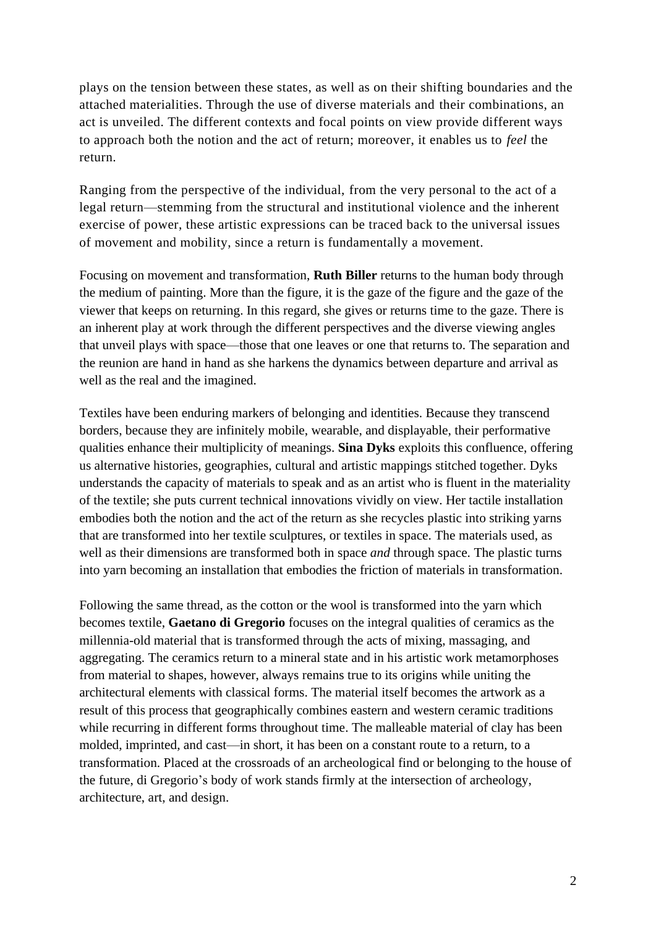plays on the tension between these states, as well as on their shifting boundaries and the attached materialities. Through the use of diverse materials and their combinations, an act is unveiled. The different contexts and focal points on view provide different ways to approach both the notion and the act of return; moreover, it enables us to *feel* the return.

Ranging from the perspective of the individual, from the very personal to the act of a legal return—stemming from the structural and institutional violence and the inherent exercise of power, these artistic expressions can be traced back to the universal issues of movement and mobility, since a return is fundamentally a movement.

Focusing on movement and transformation, **Ruth Biller** returns to the human body through the medium of painting. More than the figure, it is the gaze of the figure and the gaze of the viewer that keeps on returning. In this regard, she gives or returns time to the gaze. There is an inherent play at work through the different perspectives and the diverse viewing angles that unveil plays with space—those that one leaves or one that returns to. The separation and the reunion are hand in hand as she harkens the dynamics between departure and arrival as well as the real and the imagined.

Textiles have been enduring markers of belonging and identities. Because they transcend borders, because they are infinitely mobile, wearable, and displayable, their performative qualities enhance their multiplicity of meanings. **Sina Dyks** exploits this confluence, offering us alternative histories, geographies, cultural and artistic mappings stitched together. Dyks understands the capacity of materials to speak and as an artist who is fluent in the materiality of the textile; she puts current technical innovations vividly on view. Her tactile installation embodies both the notion and the act of the return as she recycles plastic into striking yarns that are transformed into her textile sculptures, or textiles in space. The materials used, as well as their dimensions are transformed both in space *and* through space. The plastic turns into yarn becoming an installation that embodies the friction of materials in transformation.

Following the same thread, as the cotton or the wool is transformed into the yarn which becomes textile, **Gaetano di Gregorio** focuses on the integral qualities of ceramics as the millennia-old material that is transformed through the acts of mixing, massaging, and aggregating. The ceramics return to a mineral state and in his artistic work metamorphoses from material to shapes, however, always remains true to its origins while uniting the architectural elements with classical forms. The material itself becomes the artwork as a result of this process that geographically combines eastern and western ceramic traditions while recurring in different forms throughout time. The malleable material of clay has been molded, imprinted, and cast—in short, it has been on a constant route to a return, to a transformation. Placed at the crossroads of an archeological find or belonging to the house of the future, di Gregorio's body of work stands firmly at the intersection of archeology, architecture, art, and design.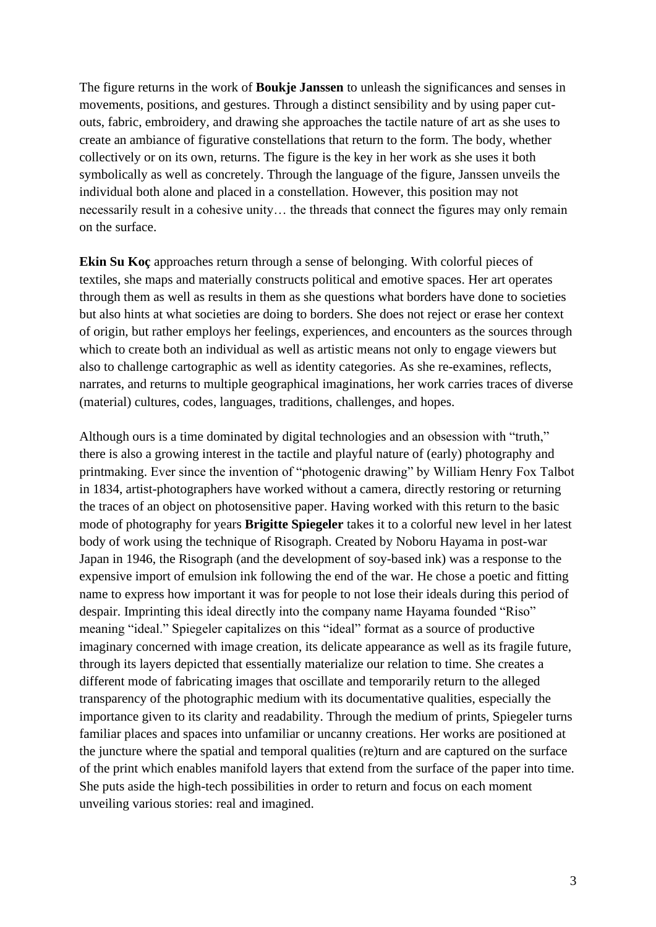The figure returns in the work of **Boukje Janssen** to unleash the significances and senses in movements, positions, and gestures. Through a distinct sensibility and by using paper cutouts, fabric, embroidery, and drawing she approaches the tactile nature of art as she uses to create an ambiance of figurative constellations that return to the form. The body, whether collectively or on its own, returns. The figure is the key in her work as she uses it both symbolically as well as concretely. Through the language of the figure, Janssen unveils the individual both alone and placed in a constellation. However, this position may not necessarily result in a cohesive unity… the threads that connect the figures may only remain on the surface.

**Ekin Su Koç** approaches return through a sense of belonging. With colorful pieces of textiles, she maps and materially constructs political and emotive spaces. Her art operates through them as well as results in them as she questions what borders have done to societies but also hints at what societies are doing to borders. She does not reject or erase her context of origin, but rather employs her feelings, experiences, and encounters as the sources through which to create both an individual as well as artistic means not only to engage viewers but also to challenge cartographic as well as identity categories. As she re-examines, reflects, narrates, and returns to multiple geographical imaginations, her work carries traces of diverse (material) cultures, codes, languages, traditions, challenges, and hopes.

Although ours is a time dominated by digital technologies and an obsession with "truth," there is also a growing interest in the tactile and playful nature of (early) photography and printmaking. Ever since the invention of "photogenic drawing" by William Henry Fox Talbot in 1834, artist-photographers have worked without a camera, directly restoring or returning the traces of an object on photosensitive paper. Having worked with this return to the basic mode of photography for years **Brigitte Spiegeler** takes it to a colorful new level in her latest body of work using the technique of Risograph. Created by Noboru Hayama in post-war Japan in 1946, the Risograph (and the development of soy-based ink) was a response to the expensive import of emulsion ink following the end of the war. He chose a poetic and fitting name to express how important it was for people to not lose their ideals during this period of despair. Imprinting this ideal directly into the company name Hayama founded "Riso" meaning "ideal." Spiegeler capitalizes on this "ideal" format as a source of productive imaginary concerned with image creation, its delicate appearance as well as its fragile future, through its layers depicted that essentially materialize our relation to time. She creates a different mode of fabricating images that oscillate and temporarily return to the alleged transparency of the photographic medium with its documentative qualities, especially the importance given to its clarity and readability. Through the medium of prints, Spiegeler turns familiar places and spaces into unfamiliar or uncanny creations. Her works are positioned at the juncture where the spatial and temporal qualities (re)turn and are captured on the surface of the print which enables manifold layers that extend from the surface of the paper into time. She puts aside the high-tech possibilities in order to return and focus on each moment unveiling various stories: real and imagined.